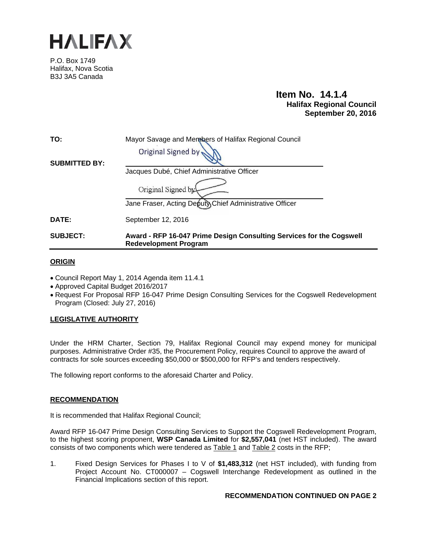

P.O. Box 1749 Halifax, Nova Scotia B3J 3A5 Canada

# **Item No. 14.1.4 Halifax Regional Council September 20, 2016**

| TO:                  | Mayor Savage and Members of Halifax Regional Council<br>Original Signed by                           |
|----------------------|------------------------------------------------------------------------------------------------------|
| <b>SUBMITTED BY:</b> | Jacques Dubé, Chief Administrative Officer                                                           |
|                      | Original Signed by                                                                                   |
|                      | Jane Fraser, Acting Deputy Chief Administrative Officer                                              |
| <b>DATE:</b>         | September 12, 2016                                                                                   |
| <b>SUBJECT:</b>      | Award - RFP 16-047 Prime Design Consulting Services for the Cogswell<br><b>Redevelopment Program</b> |

## **ORIGIN**

- Council Report May 1, 2014 Agenda item 11.4.1
- Approved Capital Budget 2016/2017
- Request For Proposal RFP 16-047 Prime Design Consulting Services for the Cogswell Redevelopment Program (Closed: July 27, 2016)

## **LEGISLATIVE AUTHORITY**

Under the HRM Charter, Section 79, Halifax Regional Council may expend money for municipal purposes. Administrative Order #35, the Procurement Policy, requires Council to approve the award of contracts for sole sources exceeding \$50,000 or \$500,000 for RFP's and tenders respectively.

The following report conforms to the aforesaid Charter and Policy.

## **RECOMMENDATION**

It is recommended that Halifax Regional Council;

Award RFP 16-047 Prime Design Consulting Services to Support the Cogswell Redevelopment Program, to the highest scoring proponent, **WSP Canada Limited** for **\$2,557,041** (net HST included). The award consists of two components which were tendered as Table 1 and Table 2 costs in the RFP;

1. Fixed Design Services for Phases I to V of **\$1,483,312** (net HST included), with funding from Project Account No. CT000007 - Cogswell Interchange Redevelopment as outlined in the Financial Implications section of this report.

## **RECOMMENDATION CONTINUED ON PAGE 2**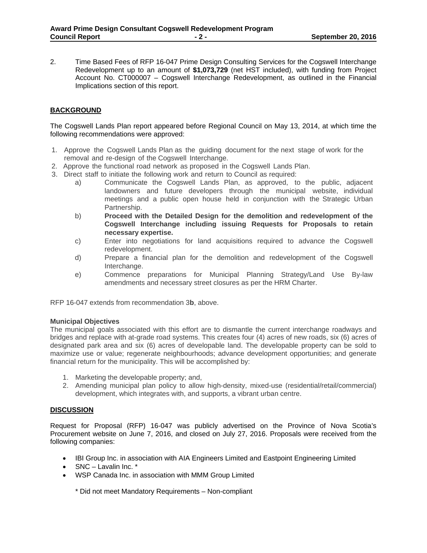2. Time Based Fees of RFP 16-047 Prime Design Consulting Services for the Cogswell Interchange Redevelopment up to an amount of **\$1,073,729** (net HST included), with funding from Project Account No. CT000007 – Cogswell Interchange Redevelopment, as outlined in the Financial Implications section of this report.

## **BACKGROUND**

The Cogswell Lands Plan report appeared before Regional Council on May 13, 2014, at which time the following recommendations were approved:

- 1. Approve the Cogswell Lands Plan as the guiding document for the next stage of work for the removal and re-design of the Cogswell Interchange.
- 2. Approve the functional road network as proposed in the Cogswell Lands Plan.
- 3. Direct staff to initiate the following work and return to Council as required:
	- a) Communicate the Cogswell Lands Plan, as approved, to the public, adjacent landowners and future developers through the municipal website, individual meetings and a public open house held in conjunction with the Strategic Urban Partnership.
	- b) **Proceed with the Detailed Design for the demolition and redevelopment of the Cogswell Interchange including issuing Requests for Proposals to retain necessary expertise.**
	- c) Enter into negotiations for land acquisitions required to advance the Cogswell redevelopment.
	- d) Prepare a financial plan for the demolition and redevelopment of the Cogswell Interchange.
	- e) Commence preparations for Municipal Planning Strategy/Land Use By-law amendments and necessary street closures as per the HRM Charter.

RFP 16-047 extends from recommendation 3**b**, above.

### **Municipal Objectives**

The municipal goals associated with this effort are to dismantle the current interchange roadways and bridges and replace with at-grade road systems. This creates four (4) acres of new roads, six (6) acres of designated park area and six (6) acres of developable land. The developable property can be sold to maximize use or value; regenerate neighbourhoods; advance development opportunities; and generate financial return for the municipality. This will be accomplished by:

- 1. Marketing the developable property; and,
- 2. Amending municipal plan policy to allow high-density, mixed-use (residential/retail/commercial) development, which integrates with, and supports, a vibrant urban centre.

### **DISCUSSION**

Request for Proposal (RFP) 16-047 was publicly advertised on the Province of Nova Scotia's Procurement website on June 7, 2016, and closed on July 27, 2016. Proposals were received from the following companies:

- IBI Group Inc. in association with AIA Engineers Limited and Eastpoint Engineering Limited
- SNC Lavalin Inc. \*
- WSP Canada Inc. in association with MMM Group Limited

\* Did not meet Mandatory Requirements – Non-compliant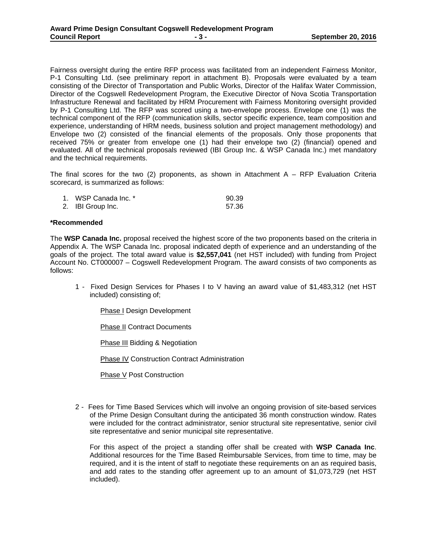Fairness oversight during the entire RFP process was facilitated from an independent Fairness Monitor, P-1 Consulting Ltd. (see preliminary report in attachment B). Proposals were evaluated by a team consisting of the Director of Transportation and Public Works, Director of the Halifax Water Commission, Director of the Cogswell Redevelopment Program, the Executive Director of Nova Scotia Transportation Infrastructure Renewal and facilitated by HRM Procurement with Fairness Monitoring oversight provided by P-1 Consulting Ltd. The RFP was scored using a two-envelope process. Envelope one (1) was the technical component of the RFP (communication skills, sector specific experience, team composition and experience, understanding of HRM needs, business solution and project management methodology) and Envelope two (2) consisted of the financial elements of the proposals. Only those proponents that received 75% or greater from envelope one (1) had their envelope two (2) (financial) opened and evaluated. All of the technical proposals reviewed (IBI Group Inc. & WSP Canada Inc.) met mandatory and the technical requirements.

The final scores for the two  $(2)$  proponents, as shown in Attachment A – RFP Evaluation Criteria scorecard, is summarized as follows:

| 1. WSP Canada Inc. * | 90.39 |
|----------------------|-------|
| 2. IBI Group Inc.    | 57.36 |

### **\*Recommended**

The **WSP Canada Inc.** proposal received the highest score of the two proponents based on the criteria in Appendix A. The WSP Canada Inc. proposal indicated depth of experience and an understanding of the goals of the project. The total award value is **\$2,557,041** (net HST included) with funding from Project Account No. CT000007 – Cogswell Redevelopment Program. The award consists of two components as follows:

1 - Fixed Design Services for Phases I to V having an award value of \$1,483,312 (net HST included) consisting of;

Phase I Design Development

Phase II Contract Documents

Phase III Bidding & Negotiation

Phase IV Construction Contract Administration

Phase V Post Construction

2 - Fees for Time Based Services which will involve an ongoing provision of site-based services of the Prime Design Consultant during the anticipated 36 month construction window. Rates were included for the contract administrator, senior structural site representative, senior civil site representative and senior municipal site representative.

For this aspect of the project a standing offer shall be created with **WSP Canada Inc**. Additional resources for the Time Based Reimbursable Services, from time to time, may be required, and it is the intent of staff to negotiate these requirements on an as required basis, and add rates to the standing offer agreement up to an amount of \$1,073,729 (net HST included).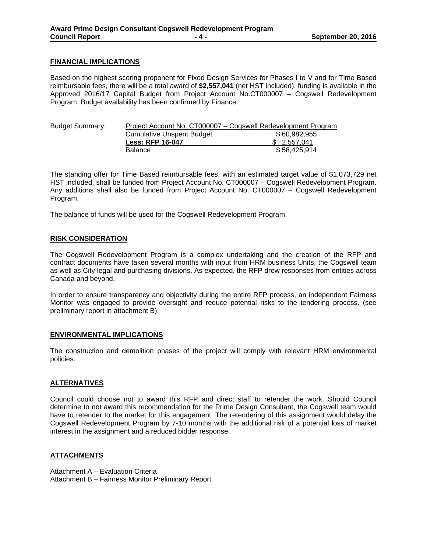#### **FINANCIAL IMPLICATIONS**

Based on the highest scoring proponent for Fixed Design Services for Phases I to V and for Time Based reimbursable fees, there will be a total award of **\$2,557,041** (net HST included), funding is available in the Approved 2016/17 Capital Budget from Project Account No.CT000007 – Cogswell Redevelopment Program. Budget availability has been confirmed by Finance.

| <b>Budget Summary:</b> |                                  | Project Account No. CT000007 – Cogswell Redevelopment Program |
|------------------------|----------------------------------|---------------------------------------------------------------|
|                        | <b>Cumulative Unspent Budget</b> | \$60,982,955                                                  |
|                        | <b>Less: RFP 16-047</b>          | \$2.557.041                                                   |
|                        | <b>Balance</b>                   | \$58.425.914                                                  |

The standing offer for Time Based reimbursable fees, with an estimated target value of \$1,073,729 net HST included, shall be funded from Project Account No. CT000007 – Cogswell Redevelopment Program. Any additions shall also be funded from Project Account No. CT000007 – Cogswell Redevelopment Program.

The balance of funds will be used for the Cogswell Redevelopment Program.

#### **RISK CONSIDERATION**

The Cogswell Redevelopment Program is a complex undertaking and the creation of the RFP and contract documents have taken several months with input from HRM business Units, the Cogswell team as well as City legal and purchasing divisions. As expected, the RFP drew responses from entities across Canada and beyond.

In order to ensure transparency and objectivity during the entire RFP process, an independent Fairness Monitor was engaged to provide oversight and reduce potential risks to the tendering process. (see preliminary report in attachment B).

#### **ENVIRONMENTAL IMPLICATIONS**

The construction and demolition phases of the project will comply with relevant HRM environmental policies.

### **ALTERNATIVES**

Council could choose not to award this RFP and direct staff to retender the work. Should Council determine to not award this recommendation for the Prime Design Consultant, the Cogswell team would have to retender to the market for this engagement. The retendering of this assignment would delay the Cogswell Redevelopment Program by 7-10 months with the additional risk of a potential loss of market interest in the assignment and a reduced bidder response.

### **ATTACHMENTS**

Attachment A – Evaluation Criteria Attachment B – Fairness Monitor Preliminary Report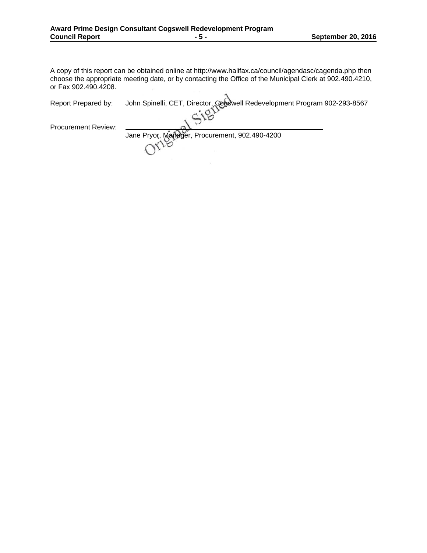A copy of this report can be obtained online at http://www.halifax.ca/council/agendasc/cagenda.php then choose the appropriate meeting date, or by contacting the Office of the Municipal Clerk at 902.490.4210, or Fax 902.490.4208.  $\overline{A}$ 

| Report Prepared by:        | John Spinelli, CET, Director, Cogswell Redevelopment Program 902-293-8567 |
|----------------------------|---------------------------------------------------------------------------|
| <b>Procurement Review:</b> |                                                                           |
|                            | Jane Pryor, Manager, Procurement, 902.490-4200                            |
|                            |                                                                           |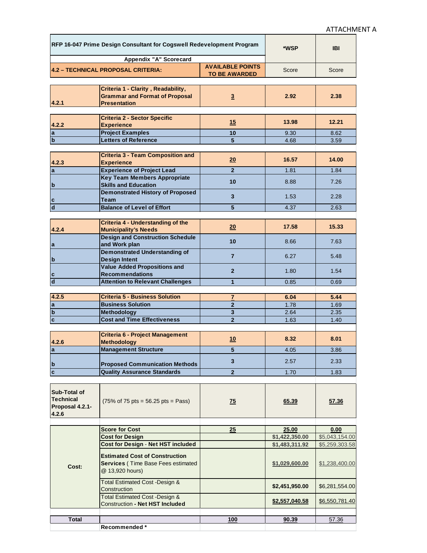| RFP 16-047 Prime Design Consultant for Cogswell Redevelopment Program |                                                                     | *WSP                    | <b>IBI</b>     |                |
|-----------------------------------------------------------------------|---------------------------------------------------------------------|-------------------------|----------------|----------------|
|                                                                       | Appendix "A" Scorecard                                              |                         |                |                |
|                                                                       | 4.2 - TECHNICAL PROPOSAL CRITERIA:                                  | <b>AVAILABLE POINTS</b> | Score          | Score          |
|                                                                       |                                                                     | <b>TO BE AWARDED</b>    |                |                |
|                                                                       |                                                                     |                         |                |                |
|                                                                       | Criteria 1 - Clarity, Readability,                                  |                         |                |                |
| 4.2.1                                                                 | <b>Grammar and Format of Proposal</b><br><b>Presentation</b>        | $\overline{3}$          | 2.92           | 2.38           |
|                                                                       |                                                                     |                         |                |                |
|                                                                       | <b>Criteria 2 - Sector Specific</b>                                 |                         |                |                |
| 4.2.2                                                                 | <b>Experience</b>                                                   | 15                      | 13.98          | 12.21          |
| <b>a</b>                                                              | <b>Project Examples</b>                                             | 10                      | 9.30           | 8.62           |
| b                                                                     | <b>Letters of Reference</b>                                         | 5                       | 4.68           | 3.59           |
|                                                                       |                                                                     |                         |                |                |
|                                                                       | <b>Criteria 3 - Team Composition and</b>                            |                         |                |                |
| 4.2.3                                                                 | <b>Experience</b>                                                   | 20                      | 16.57          | 14.00          |
| la                                                                    | <b>Experience of Project Lead</b>                                   | $\overline{2}$          | 1.81           | 1.84           |
|                                                                       | <b>Key Team Members Appropriate</b>                                 |                         |                |                |
| b                                                                     | <b>Skills and Education</b>                                         | 10                      | 8.88           | 7.26           |
|                                                                       | <b>Demonstrated History of Proposed</b>                             |                         |                |                |
| c                                                                     | Team                                                                | 3                       | 1.53           | 2.28           |
| $\overline{\mathsf{d}}$                                               | <b>Balance of Level of Effort</b>                                   | 5                       | 4.37           | 2.63           |
|                                                                       |                                                                     |                         |                |                |
|                                                                       | <b>Criteria 4 - Understanding of the</b>                            |                         |                |                |
| 4.2.4                                                                 | <b>Municipality's Needs</b>                                         | 20                      | 17.58          | 15.33          |
|                                                                       | <b>Design and Construction Schedule</b>                             |                         |                |                |
| a                                                                     | and Work plan                                                       | 10                      | 8.66           | 7.63           |
|                                                                       | <b>Demonstrated Understanding of</b>                                |                         |                |                |
| b                                                                     | <b>Design Intent</b>                                                | $\overline{7}$          | 6.27           | 5.48           |
|                                                                       | <b>Value Added Propositions and</b>                                 |                         |                |                |
| $\overline{\mathbf{c}}$                                               | <b>Recommendations</b>                                              | $\overline{2}$          | 1.80           | 1.54           |
| $\overline{\mathsf{d}}$                                               | <b>Attention to Relevant Challenges</b>                             | $\mathbf{1}$            | 0.85           | 0.69           |
|                                                                       |                                                                     |                         |                |                |
| 4.2.5                                                                 | <b>Criteria 5 - Business Solution</b>                               | $\overline{7}$          | 6.04           | 5.44           |
| a                                                                     | <b>Business Solution</b>                                            | $\mathbf{2}$            | 1.78           | 1.69           |
| $\overline{\mathbf{b}}$                                               | Methodology                                                         | 3                       | 2.64           | 2.35           |
| $\overline{\mathbf{c}}$                                               | <b>Cost and Time Effectiveness</b>                                  | $\overline{2}$          | 1.63           | 1.40           |
|                                                                       |                                                                     |                         |                |                |
|                                                                       | <b>Criteria 6 - Project Management</b>                              |                         |                |                |
| 4.2.6                                                                 | <b>Methodology</b>                                                  | 10                      | 8.32           | 8.01           |
| Ιa                                                                    | <b>Management Structure</b>                                         | э                       | 4.05           | 3.86           |
|                                                                       |                                                                     |                         |                |                |
| $\mathbf{b}$                                                          | <b>Proposed Communication Methods</b>                               | 3                       | 2.57           | 2.33           |
| $\overline{\mathbf{c}}$                                               | <b>Quality Assurance Standards</b>                                  | $\overline{2}$          | 1.70           | 1.83           |
|                                                                       |                                                                     |                         |                |                |
|                                                                       |                                                                     |                         |                |                |
| Sub-Total of                                                          |                                                                     |                         |                |                |
| <b>Technical</b>                                                      | $(75\% \text{ of } 75 \text{ pts} = 56.25 \text{ pts} = Pass)$      | 75                      | 65.39          | 57.36          |
| Proposal 4.2.1-                                                       |                                                                     |                         |                |                |
| 4.2.6                                                                 |                                                                     |                         |                |                |
|                                                                       |                                                                     |                         |                |                |
|                                                                       | <b>Score for Cost</b>                                               | 25                      | 25.00          | 0.00           |
|                                                                       | <b>Cost for Design</b><br><b>Cost for Design - Net HST included</b> |                         | \$1,422,350.00 | \$5,043,154.00 |
|                                                                       |                                                                     |                         | \$1,483,311.92 | \$5,259,303.58 |
|                                                                       | <b>Estimated Cost of Construction</b>                               |                         |                |                |
| Cost:                                                                 | <b>Services (Time Base Fees estimated</b>                           |                         | \$1,029,600.00 | \$1,238,400.00 |
|                                                                       | @ 13,920 hours)                                                     |                         |                |                |
|                                                                       |                                                                     |                         |                |                |
|                                                                       | Total Estimated Cost - Design &<br>Construction                     |                         | \$2,451,950.00 | \$6,281,554.00 |
|                                                                       | <b>Total Estimated Cost - Design &amp;</b>                          |                         |                |                |
|                                                                       | Construction - Net HST Included                                     |                         | \$2,557,040.58 | \$6,550,781.40 |
|                                                                       |                                                                     |                         |                |                |
| <b>Total</b>                                                          |                                                                     | 100                     | 90.39          | 57.36          |
|                                                                       | Recommended *                                                       |                         |                |                |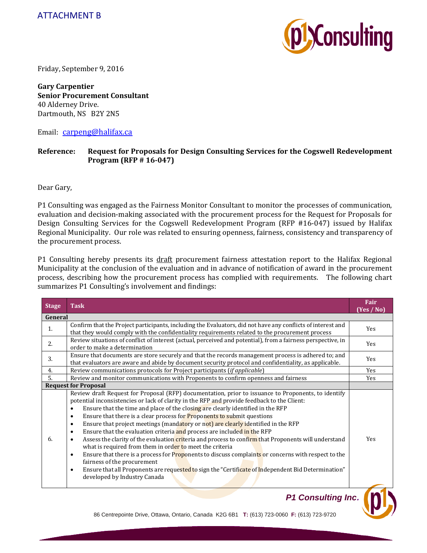

Friday, September 9, 2016

**Gary Carpentier Senior Procurement Consultant** 40 Alderney Drive. Dartmouth, NS B2Y 2N5

Email: carpeng@halifax.ca

## **Reference: Request for Proposals for Design Consulting Services for the Cogswell Redevelopment Program (RFP # 16‐047)**

Dear Gary,

P1 Consulting was engaged as the Fairness Monitor Consultant to monitor the processes of communication, evaluation and decision-making associated with the procurement process for the Request for Proposals for Design Consulting Services for the Cogswell Redevelopment Program (RFP #16-047) issued by Halifax Regional Municipality. Our role was related to ensuring openness, fairness, consistency and transparency of the procurement process.

P1 Consulting hereby presents its draft procurement fairness attestation report to the Halifax Regional Municipality at the conclusion of the evaluation and in advance of notification of award in the procurement process, describing how the procurement process has complied with requirements. The following chart summarizes P1 Consulting's involvement and findings:

| <b>Stage</b> | <b>Task</b>                                                                                                                                                                                                                                                                                                                                                                                                                                                                                                                                                                                                                                                                                                                                                                                                                                                                                                                                                                                                                                                                         | Fair<br>(Yes / No) |  |
|--------------|-------------------------------------------------------------------------------------------------------------------------------------------------------------------------------------------------------------------------------------------------------------------------------------------------------------------------------------------------------------------------------------------------------------------------------------------------------------------------------------------------------------------------------------------------------------------------------------------------------------------------------------------------------------------------------------------------------------------------------------------------------------------------------------------------------------------------------------------------------------------------------------------------------------------------------------------------------------------------------------------------------------------------------------------------------------------------------------|--------------------|--|
|              | General                                                                                                                                                                                                                                                                                                                                                                                                                                                                                                                                                                                                                                                                                                                                                                                                                                                                                                                                                                                                                                                                             |                    |  |
| 1.           | Confirm that the Project participants, including the Evaluators, did not have any conflicts of interest and<br>that they would comply with the confidentiality requirements related to the procurement process                                                                                                                                                                                                                                                                                                                                                                                                                                                                                                                                                                                                                                                                                                                                                                                                                                                                      | Yes                |  |
| 2.           | Review situations of conflict of interest (actual, perceived and potential), from a fairness perspective, in<br>order to make a determination                                                                                                                                                                                                                                                                                                                                                                                                                                                                                                                                                                                                                                                                                                                                                                                                                                                                                                                                       | Yes                |  |
| 3.           | Ensure that documents are store securely and that the records management process is adhered to; and<br>that evaluators are aware and abide by document security protocol and confidentiality, as applicable.                                                                                                                                                                                                                                                                                                                                                                                                                                                                                                                                                                                                                                                                                                                                                                                                                                                                        | <b>Yes</b>         |  |
| 4.           | Review communications protocols for Project participants (if applicable)                                                                                                                                                                                                                                                                                                                                                                                                                                                                                                                                                                                                                                                                                                                                                                                                                                                                                                                                                                                                            | <b>Yes</b>         |  |
| 5.           | Review and monitor communications with Proponents to confirm openness and fairness                                                                                                                                                                                                                                                                                                                                                                                                                                                                                                                                                                                                                                                                                                                                                                                                                                                                                                                                                                                                  | Yes                |  |
|              | <b>Request for Proposal</b>                                                                                                                                                                                                                                                                                                                                                                                                                                                                                                                                                                                                                                                                                                                                                                                                                                                                                                                                                                                                                                                         |                    |  |
| 6.           | Review draft Request for Proposal (RFP) documentation, prior to issuance to Proponents, to identify<br>potential inconsistencies or lack of clarity in the RFP and provide feedback to the Client:<br>Ensure that the time and place of the closing are clearly identified in the RFP<br>$\bullet$<br>Ensure that there is a clear process for <b>Proponents to submit questions</b><br>$\bullet$<br>Ensure that project meetings (mandatory or not) are clearly identified in the RFP<br>$\bullet$<br>Ensure that the evaluation criteria and process are included in the RFP<br>$\bullet$<br>Assess the clarity of the evaluation criteria and process to confirm that Proponents will understand<br>$\bullet$<br>what is required from them in order to meet the criteria<br>Ensure that there is a process for Proponents to discuss complaints or concerns with respect to the<br>$\bullet$<br>fairness of the procurement<br>Ensure that all Proponents are requested to sign the "Certificate of Independent Bid Determination"<br>$\bullet$<br>developed by Industry Canada | Yes                |  |

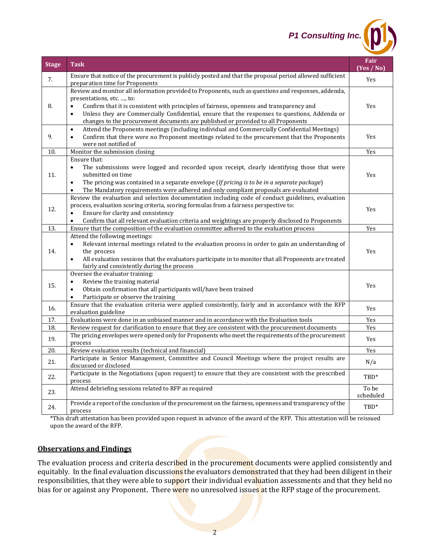*P1 Consulting Inc.*

| <b>Stage</b> | <b>Task</b>                                                                                                                                                                                                                                                                                                                                                                                                                                  | Fair<br>(Yes / No) |
|--------------|----------------------------------------------------------------------------------------------------------------------------------------------------------------------------------------------------------------------------------------------------------------------------------------------------------------------------------------------------------------------------------------------------------------------------------------------|--------------------|
| 7.           | Ensure that notice of the procurement is publicly posted and that the proposal period allowed sufficient<br>preparation time for Proponents                                                                                                                                                                                                                                                                                                  | Yes                |
| 8.           | Review and monitor all information provided to Proponents, such as questions and responses, addenda,<br>presentations, etc. , to:<br>Confirm that it is consistent with principles of fairness, openness and transparency and<br>$\bullet$<br>Unless they are Commercially Confidential, ensure that the responses to questions, Addenda or<br>$\bullet$<br>changes to the procurement documents are published or provided to all Proponents | Yes                |
| 9.           | Attend the Proponents meetings (including individual and Commercially Confidential Meetings)<br>$\bullet$<br>Confirm that there were no Proponent meetings related to the procurement that the Proponents<br>$\bullet$<br>were not notified of                                                                                                                                                                                               | Yes                |
| 10.          | Monitor the submission closing                                                                                                                                                                                                                                                                                                                                                                                                               | Yes                |
| 11.          | Ensure that:<br>The submissions were logged and recorded upon receipt, clearly identifying those that were<br>$\bullet$<br>submitted on time<br>The pricing was contained in a separate envelope (If pricing is to be in a separate package)<br>$\bullet$<br>The Mandatory requirements were adhered and only compliant proposals are evaluated<br>$\bullet$                                                                                 | Yes                |
| 12.          | Review the evaluation and selection documentation including code of conduct guidelines, evaluation<br>process, evaluation scoring criteria, scoring formulas from a fairness perspective to:<br>Ensure for clarity and consistency<br>$\bullet$<br>Confirm that all relevant evaluation criteria and weightings are properly disclosed to Proponents<br>$\bullet$                                                                            | Yes                |
| 13.          | Ensure that the composition of the evaluation committee adhered to the evaluation process                                                                                                                                                                                                                                                                                                                                                    | Yes                |
| 14.          | Attend the following meetings:<br>Relevant internal meetings related to the evaluation process in order to gain an understanding of<br>the process<br>All evaluation sessions that the evaluators participate in to monitor that all Proponents are treated<br>$\bullet$<br>fairly and consistently during the process                                                                                                                       | Yes                |
| 15.          | Oversee the evaluator training:<br>Review the training material<br>$\bullet$<br>Obtain confirmation that all participants will/have been trained<br>$\bullet$<br>Participate or observe the training<br>$\bullet$                                                                                                                                                                                                                            | Yes                |
| 16.          | Ensure that the evaluation criteria were applied consistently, fairly and in accordance with the RFP<br>evaluation guideline                                                                                                                                                                                                                                                                                                                 | Yes                |
| 17.          | Evaluations were done in an unbiased manner and in accordance with the Evaluation tools                                                                                                                                                                                                                                                                                                                                                      | Yes                |
| 18.          | Review request for clarification to ensure that they are consistent with the procurement documents                                                                                                                                                                                                                                                                                                                                           | Yes                |
| 19.          | The pricing envelopes were opened only for Proponents who meet the requirements of the procurement<br>process                                                                                                                                                                                                                                                                                                                                | Yes                |
| 20.          | Review evaluation results (technical and financial)                                                                                                                                                                                                                                                                                                                                                                                          | Yes                |
| 21.          | Participate in Senior Management, Committee and Council Meetings where the project results are<br>discussed or disclosed                                                                                                                                                                                                                                                                                                                     |                    |
| 22.          | Participate in the Negotiations (upon request) to ensure that they are consistent with the prescribed<br>process                                                                                                                                                                                                                                                                                                                             | TBD*               |
| 23.          | Attend debriefing sessions related to RFP as required                                                                                                                                                                                                                                                                                                                                                                                        | To be<br>scheduled |
| 24.          | Provide a report of the conclusion of the procurement on the fairness, openness and transparency of the<br>process                                                                                                                                                                                                                                                                                                                           | TBD*               |

\*This draft attestation has been provided upon request in advance of the award of the RFP. This attestation will be reissued upon the award of the RFP.

## **Observations and Findings**

The evaluation process and criteria described in the procurement documents were applied consistently and equitably. In the final evaluation discussions the evaluators demonstrated that they had been diligent in their responsibilities, that they were able to support their individual evaluation assessments and that they held no bias for or against any Proponent. There were no unresolved issues at the RFP stage of the procurement.